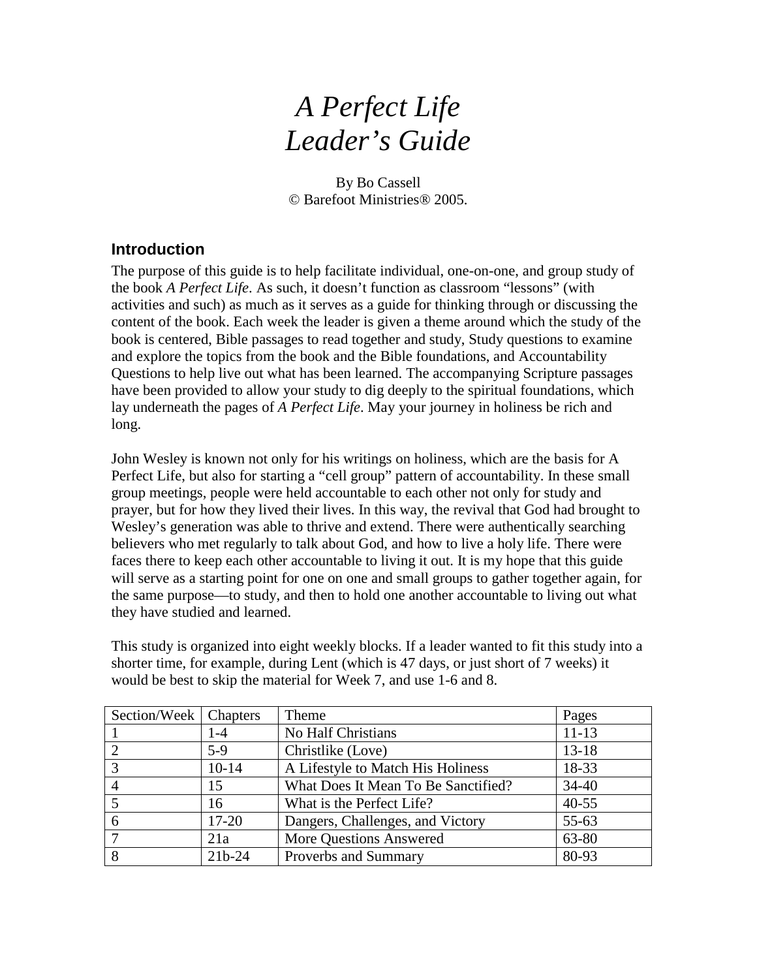# *A Perfect Life Leader's Guide*

By Bo Cassell © Barefoot Ministries® 2005.

#### **Introduction**

The purpose of this guide is to help facilitate individual, one-on-one, and group study of the book *A Perfect Life*. As such, it doesn't function as classroom "lessons" (with activities and such) as much as it serves as a guide for thinking through or discussing the content of the book. Each week the leader is given a theme around which the study of the book is centered, Bible passages to read together and study, Study questions to examine and explore the topics from the book and the Bible foundations, and Accountability Questions to help live out what has been learned. The accompanying Scripture passages have been provided to allow your study to dig deeply to the spiritual foundations, which lay underneath the pages of *A Perfect Life*. May your journey in holiness be rich and long.

John Wesley is known not only for his writings on holiness, which are the basis for A Perfect Life, but also for starting a "cell group" pattern of accountability. In these small group meetings, people were held accountable to each other not only for study and prayer, but for how they lived their lives. In this way, the revival that God had brought to Wesley's generation was able to thrive and extend. There were authentically searching believers who met regularly to talk about God, and how to live a holy life. There were faces there to keep each other accountable to living it out. It is my hope that this guide will serve as a starting point for one on one and small groups to gather together again, for the same purpose—to study, and then to hold one another accountable to living out what they have studied and learned.

This study is organized into eight weekly blocks. If a leader wanted to fit this study into a shorter time, for example, during Lent (which is 47 days, or just short of 7 weeks) it would be best to skip the material for Week 7, and use 1-6 and 8.

| Section/Week   Chapters |           | Theme                               | Pages     |
|-------------------------|-----------|-------------------------------------|-----------|
|                         | 1-4       | No Half Christians                  | $11 - 13$ |
| <u>ာ</u>                | $5-9$     | Christlike (Love)                   | $13 - 18$ |
| 3                       | $10-14$   | A Lifestyle to Match His Holiness   | 18-33     |
|                         | 15        | What Does It Mean To Be Sanctified? | $34 - 40$ |
|                         | 16        | What is the Perfect Life?           | $40 - 55$ |
| 6                       | $17 - 20$ | Dangers, Challenges, and Victory    | $55 - 63$ |
|                         | 21a       | <b>More Questions Answered</b>      | 63-80     |
| 8                       | $21b-24$  | Proverbs and Summary                | 80-93     |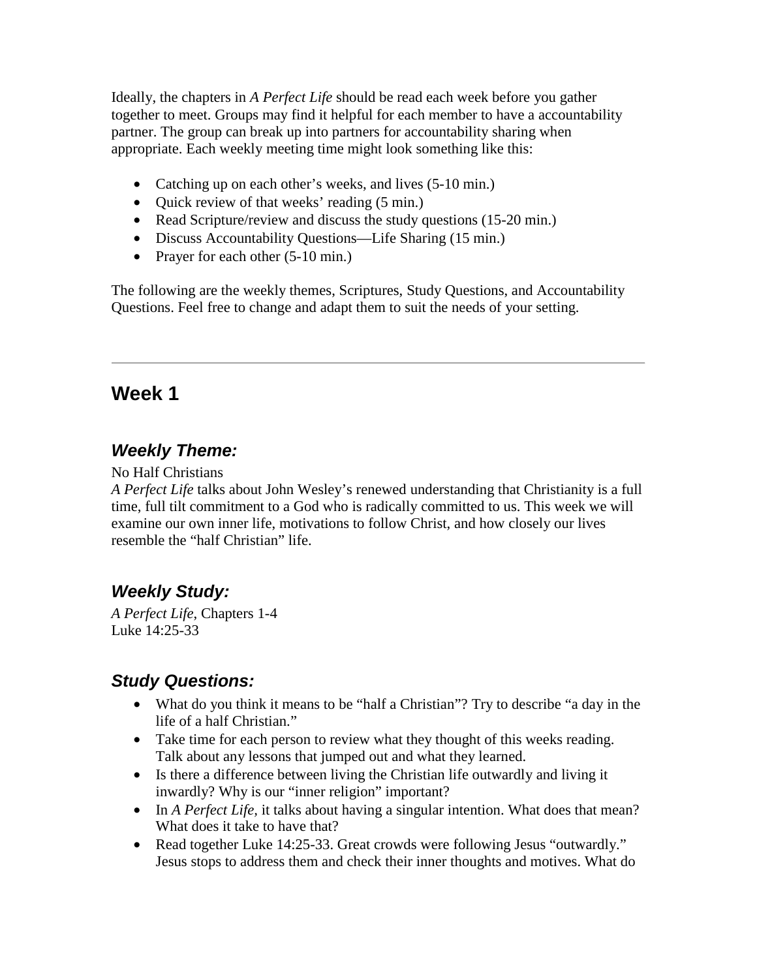Ideally, the chapters in *A Perfect Life* should be read each week before you gather together to meet. Groups may find it helpful for each member to have a accountability partner. The group can break up into partners for accountability sharing when appropriate. Each weekly meeting time might look something like this:

- Catching up on each other's weeks, and lives (5-10 min.)
- Ouick review of that weeks' reading (5 min.)
- Read Scripture/review and discuss the study questions (15-20 min.)
- Discuss Accountability Questions—Life Sharing (15 min.)
- Prayer for each other  $(5-10 \text{ min.})$

The following are the weekly themes, Scriptures, Study Questions, and Accountability Questions. Feel free to change and adapt them to suit the needs of your setting.

# **Week 1**

## *Weekly Theme:*

No Half Christians

*A Perfect Life* talks about John Wesley's renewed understanding that Christianity is a full time, full tilt commitment to a God who is radically committed to us. This week we will examine our own inner life, motivations to follow Christ, and how closely our lives resemble the "half Christian" life.

## *Weekly Study:*

*A Perfect Life*, Chapters 1-4 Luke 14:25-33

- What do you think it means to be "half a Christian"? Try to describe "a day in the life of a half Christian."
- Take time for each person to review what they thought of this weeks reading. Talk about any lessons that jumped out and what they learned.
- Is there a difference between living the Christian life outwardly and living it inwardly? Why is our "inner religion" important?
- In *A Perfect Life*, it talks about having a singular intention. What does that mean? What does it take to have that?
- Read together Luke 14:25-33. Great crowds were following Jesus "outwardly." Jesus stops to address them and check their inner thoughts and motives. What do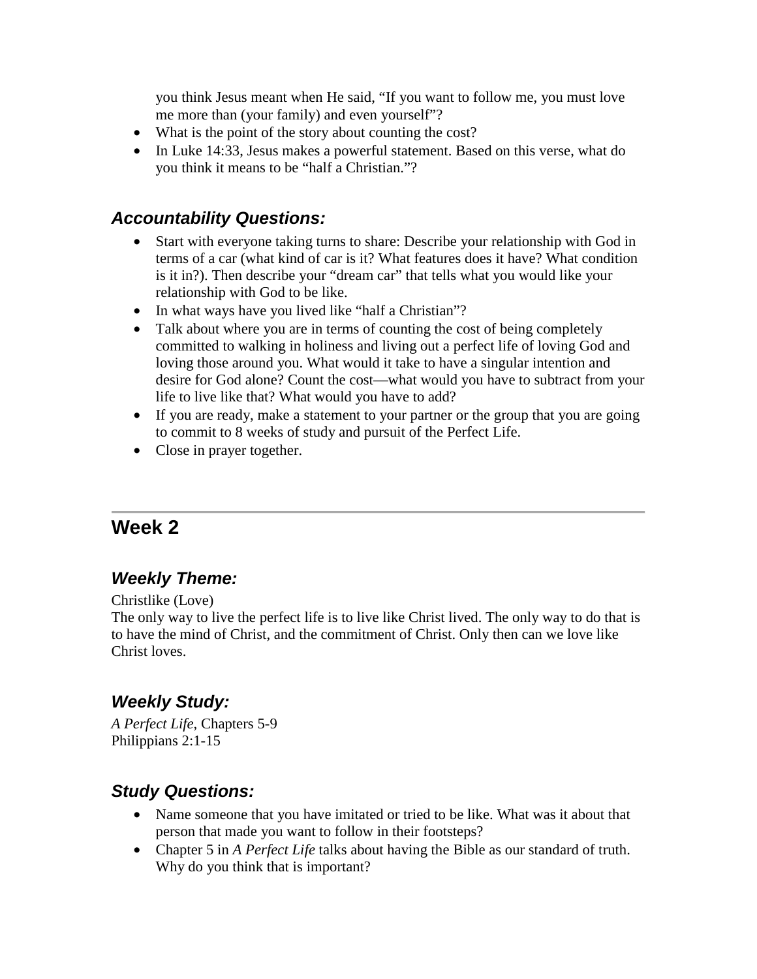you think Jesus meant when He said, "If you want to follow me, you must love me more than (your family) and even yourself"?

- What is the point of the story about counting the cost?
- In Luke 14:33, Jesus makes a powerful statement. Based on this verse, what do you think it means to be "half a Christian."?

#### *Accountability Questions:*

- Start with everyone taking turns to share: Describe your relationship with God in terms of a car (what kind of car is it? What features does it have? What condition is it in?). Then describe your "dream car" that tells what you would like your relationship with God to be like.
- In what ways have you lived like "half a Christian"?
- Talk about where you are in terms of counting the cost of being completely committed to walking in holiness and living out a perfect life of loving God and loving those around you. What would it take to have a singular intention and desire for God alone? Count the cost—what would you have to subtract from your life to live like that? What would you have to add?
- If you are ready, make a statement to your partner or the group that you are going to commit to 8 weeks of study and pursuit of the Perfect Life.
- Close in prayer together.

# **Week 2**

## *Weekly Theme:*

Christlike (Love)

The only way to live the perfect life is to live like Christ lived. The only way to do that is to have the mind of Christ, and the commitment of Christ. Only then can we love like Christ loves.

## *Weekly Study:*

*A Perfect Life*, Chapters 5-9 Philippians 2:1-15

- Name someone that you have imitated or tried to be like. What was it about that person that made you want to follow in their footsteps?
- Chapter 5 in *A Perfect Life* talks about having the Bible as our standard of truth. Why do you think that is important?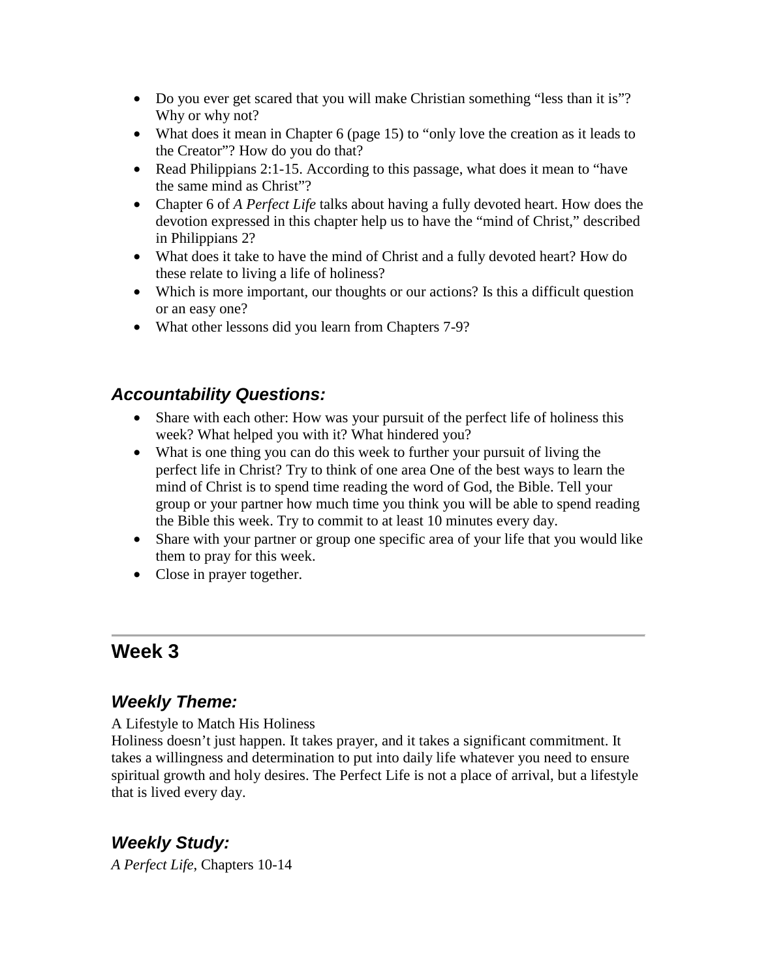- Do you ever get scared that you will make Christian something "less than it is"? Why or why not?
- What does it mean in Chapter 6 (page 15) to "only love the creation as it leads to the Creator"? How do you do that?
- Read Philippians 2:1-15. According to this passage, what does it mean to "have the same mind as Christ"?
- Chapter 6 of *A Perfect Life* talks about having a fully devoted heart. How does the devotion expressed in this chapter help us to have the "mind of Christ," described in Philippians 2?
- What does it take to have the mind of Christ and a fully devoted heart? How do these relate to living a life of holiness?
- Which is more important, our thoughts or our actions? Is this a difficult question or an easy one?
- What other lessons did you learn from Chapters 7-9?

#### *Accountability Questions:*

- Share with each other: How was your pursuit of the perfect life of holiness this week? What helped you with it? What hindered you?
- What is one thing you can do this week to further your pursuit of living the perfect life in Christ? Try to think of one area One of the best ways to learn the mind of Christ is to spend time reading the word of God, the Bible. Tell your group or your partner how much time you think you will be able to spend reading the Bible this week. Try to commit to at least 10 minutes every day.
- Share with your partner or group one specific area of your life that you would like them to pray for this week.
- Close in prayer together.

# **Week 3**

## *Weekly Theme:*

A Lifestyle to Match His Holiness

Holiness doesn't just happen. It takes prayer, and it takes a significant commitment. It takes a willingness and determination to put into daily life whatever you need to ensure spiritual growth and holy desires. The Perfect Life is not a place of arrival, but a lifestyle that is lived every day.

## *Weekly Study:*

*A Perfect Life*, Chapters 10-14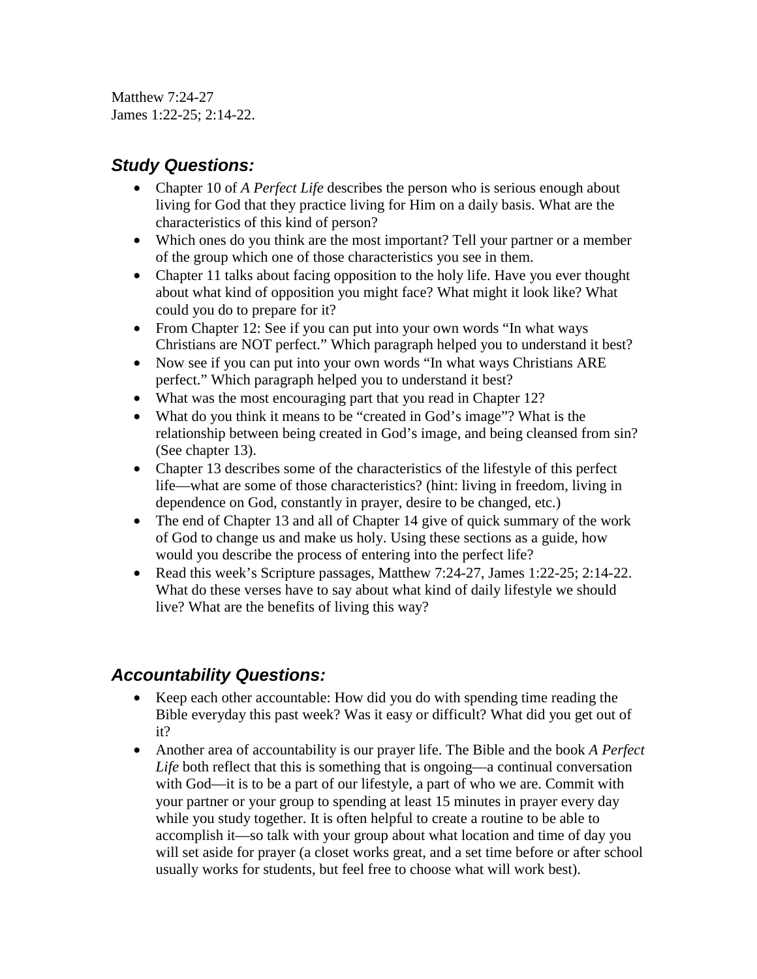Matthew 7:24-27 James 1:22-25; 2:14-22.

## *Study Questions:*

- Chapter 10 of *A Perfect Life* describes the person who is serious enough about living for God that they practice living for Him on a daily basis. What are the characteristics of this kind of person?
- Which ones do you think are the most important? Tell your partner or a member of the group which one of those characteristics you see in them.
- Chapter 11 talks about facing opposition to the holy life. Have you ever thought about what kind of opposition you might face? What might it look like? What could you do to prepare for it?
- From Chapter 12: See if you can put into your own words "In what ways" Christians are NOT perfect." Which paragraph helped you to understand it best?
- Now see if you can put into your own words "In what ways Christians ARE perfect." Which paragraph helped you to understand it best?
- What was the most encouraging part that you read in Chapter 12?
- What do you think it means to be "created in God's image"? What is the relationship between being created in God's image, and being cleansed from sin? (See chapter 13).
- Chapter 13 describes some of the characteristics of the lifestyle of this perfect life—what are some of those characteristics? (hint: living in freedom, living in dependence on God, constantly in prayer, desire to be changed, etc.)
- The end of Chapter 13 and all of Chapter 14 give of quick summary of the work of God to change us and make us holy. Using these sections as a guide, how would you describe the process of entering into the perfect life?
- Read this week's Scripture passages, Matthew 7:24-27, James 1:22-25; 2:14-22. What do these verses have to say about what kind of daily lifestyle we should live? What are the benefits of living this way?

- Keep each other accountable: How did you do with spending time reading the Bible everyday this past week? Was it easy or difficult? What did you get out of it?
- Another area of accountability is our prayer life. The Bible and the book *A Perfect Life* both reflect that this is something that is ongoing—a continual conversation with God—it is to be a part of our lifestyle, a part of who we are. Commit with your partner or your group to spending at least 15 minutes in prayer every day while you study together. It is often helpful to create a routine to be able to accomplish it—so talk with your group about what location and time of day you will set aside for prayer (a closet works great, and a set time before or after school usually works for students, but feel free to choose what will work best).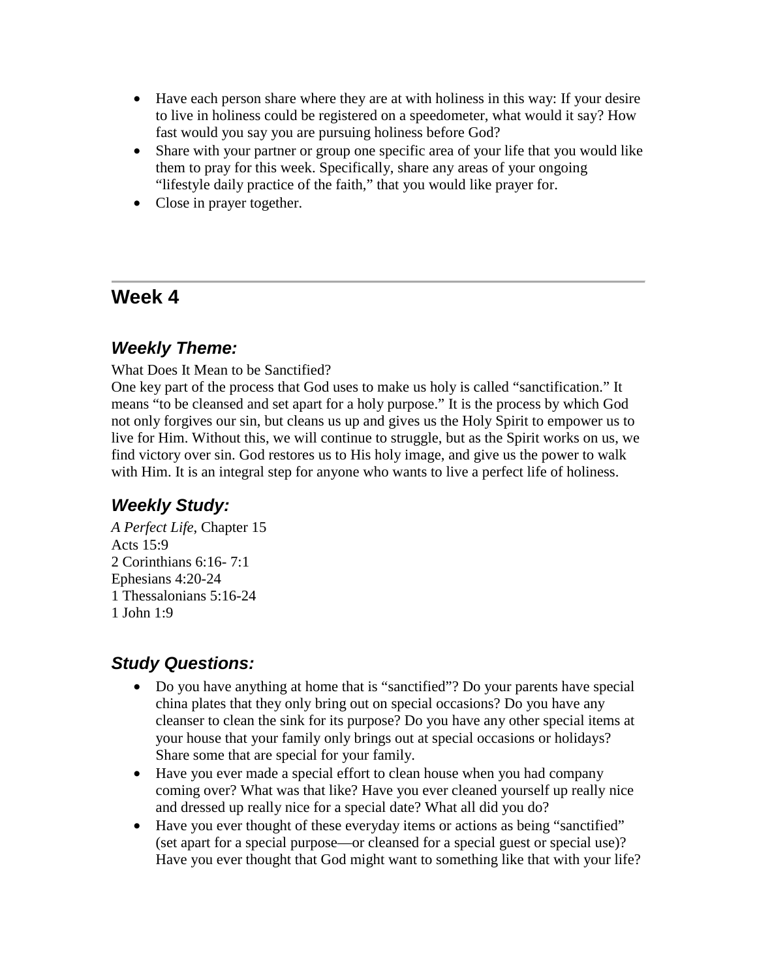- Have each person share where they are at with holiness in this way: If your desire to live in holiness could be registered on a speedometer, what would it say? How fast would you say you are pursuing holiness before God?
- Share with your partner or group one specific area of your life that you would like them to pray for this week. Specifically, share any areas of your ongoing "lifestyle daily practice of the faith," that you would like prayer for.
- Close in prayer together.

## **Week 4**

## *Weekly Theme:*

What Does It Mean to be Sanctified?

One key part of the process that God uses to make us holy is called "sanctification." It means "to be cleansed and set apart for a holy purpose." It is the process by which God not only forgives our sin, but cleans us up and gives us the Holy Spirit to empower us to live for Him. Without this, we will continue to struggle, but as the Spirit works on us, we find victory over sin. God restores us to His holy image, and give us the power to walk with Him. It is an integral step for anyone who wants to live a perfect life of holiness.

## *Weekly Study:*

*A Perfect Life*, Chapter 15 Acts 15:9 2 Corinthians 6:16- 7:1 Ephesians 4:20-24 1 Thessalonians 5:16-24 1 John 1:9

- Do you have anything at home that is "sanctified"? Do your parents have special china plates that they only bring out on special occasions? Do you have any cleanser to clean the sink for its purpose? Do you have any other special items at your house that your family only brings out at special occasions or holidays? Share some that are special for your family.
- Have you ever made a special effort to clean house when you had company coming over? What was that like? Have you ever cleaned yourself up really nice and dressed up really nice for a special date? What all did you do?
- Have you ever thought of these everyday items or actions as being "sanctified" (set apart for a special purpose—or cleansed for a special guest or special use)? Have you ever thought that God might want to something like that with your life?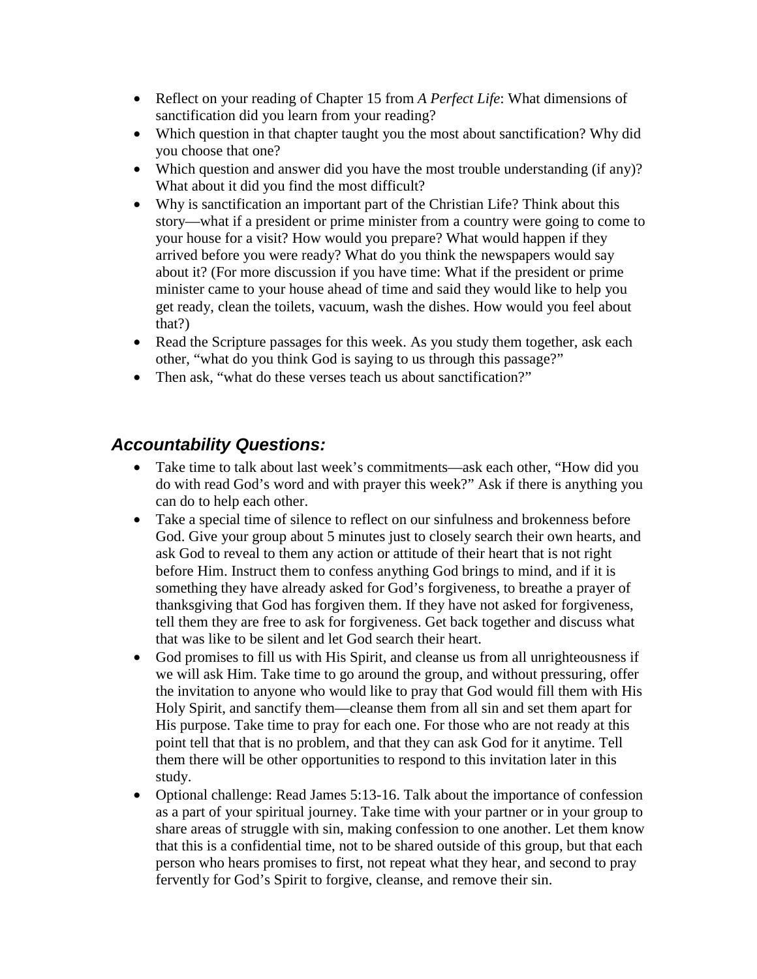- Reflect on your reading of Chapter 15 from *A Perfect Life*: What dimensions of sanctification did you learn from your reading?
- Which question in that chapter taught you the most about sanctification? Why did you choose that one?
- Which question and answer did you have the most trouble understanding (if any)? What about it did you find the most difficult?
- Why is sanctification an important part of the Christian Life? Think about this story—what if a president or prime minister from a country were going to come to your house for a visit? How would you prepare? What would happen if they arrived before you were ready? What do you think the newspapers would say about it? (For more discussion if you have time: What if the president or prime minister came to your house ahead of time and said they would like to help you get ready, clean the toilets, vacuum, wash the dishes. How would you feel about that?)
- Read the Scripture passages for this week. As you study them together, ask each other, "what do you think God is saying to us through this passage?"
- Then ask, "what do these verses teach us about sanctification?"

- Take time to talk about last week's commitments—ask each other, "How did you do with read God's word and with prayer this week?" Ask if there is anything you can do to help each other.
- Take a special time of silence to reflect on our sinfulness and brokenness before God. Give your group about 5 minutes just to closely search their own hearts, and ask God to reveal to them any action or attitude of their heart that is not right before Him. Instruct them to confess anything God brings to mind, and if it is something they have already asked for God's forgiveness, to breathe a prayer of thanksgiving that God has forgiven them. If they have not asked for forgiveness, tell them they are free to ask for forgiveness. Get back together and discuss what that was like to be silent and let God search their heart.
- God promises to fill us with His Spirit, and cleanse us from all unrighteousness if we will ask Him. Take time to go around the group, and without pressuring, offer the invitation to anyone who would like to pray that God would fill them with His Holy Spirit, and sanctify them—cleanse them from all sin and set them apart for His purpose. Take time to pray for each one. For those who are not ready at this point tell that that is no problem, and that they can ask God for it anytime. Tell them there will be other opportunities to respond to this invitation later in this study.
- Optional challenge: Read James 5:13-16. Talk about the importance of confession as a part of your spiritual journey. Take time with your partner or in your group to share areas of struggle with sin, making confession to one another. Let them know that this is a confidential time, not to be shared outside of this group, but that each person who hears promises to first, not repeat what they hear, and second to pray fervently for God's Spirit to forgive, cleanse, and remove their sin.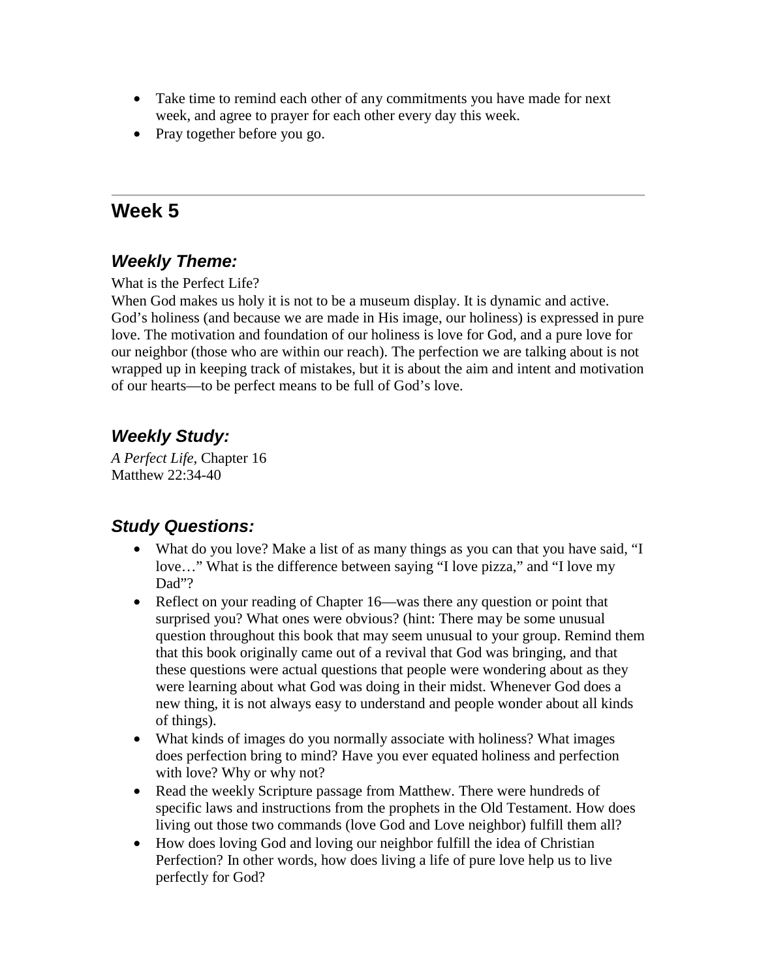- Take time to remind each other of any commitments you have made for next week, and agree to prayer for each other every day this week.
- Pray together before you go.

# **Week 5**

## *Weekly Theme:*

What is the Perfect Life?

When God makes us holy it is not to be a museum display. It is dynamic and active. God's holiness (and because we are made in His image, our holiness) is expressed in pure love. The motivation and foundation of our holiness is love for God, and a pure love for our neighbor (those who are within our reach). The perfection we are talking about is not wrapped up in keeping track of mistakes, but it is about the aim and intent and motivation of our hearts—to be perfect means to be full of God's love.

## *Weekly Study:*

*A Perfect Life*, Chapter 16 Matthew 22:34-40

- What do you love? Make a list of as many things as you can that you have said, "I love…" What is the difference between saying "I love pizza," and "I love my Dad"?
- Reflect on your reading of Chapter 16—was there any question or point that surprised you? What ones were obvious? (hint: There may be some unusual question throughout this book that may seem unusual to your group. Remind them that this book originally came out of a revival that God was bringing, and that these questions were actual questions that people were wondering about as they were learning about what God was doing in their midst. Whenever God does a new thing, it is not always easy to understand and people wonder about all kinds of things).
- What kinds of images do you normally associate with holiness? What images does perfection bring to mind? Have you ever equated holiness and perfection with love? Why or why not?
- Read the weekly Scripture passage from Matthew. There were hundreds of specific laws and instructions from the prophets in the Old Testament. How does living out those two commands (love God and Love neighbor) fulfill them all?
- How does loving God and loving our neighbor fulfill the idea of Christian Perfection? In other words, how does living a life of pure love help us to live perfectly for God?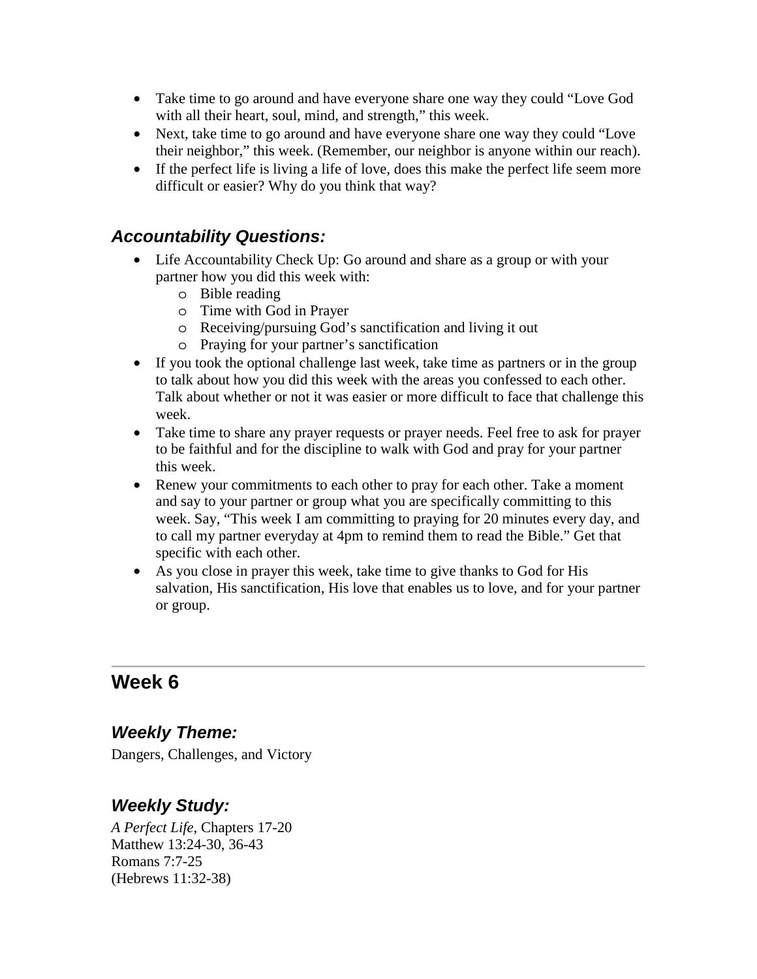- Take time to go around and have everyone share one way they could "Love God with all their heart, soul, mind, and strength," this week.
- Next, take time to go around and have everyone share one way they could "Love their neighbor," this week. (Remember, our neighbor is anyone within our reach).
- If the perfect life is living a life of love, does this make the perfect life seem more difficult or easier? Why do you think that way?

#### *Accountability Questions:*

- Life Accountability Check Up: Go around and share as a group or with your partner how you did this week with:
	- o Bible reading
	- o Time with God in Prayer
	- o Receiving/pursuing God's sanctification and living it out
	- o Praying for your partner's sanctification
- If you took the optional challenge last week, take time as partners or in the group to talk about how you did this week with the areas you confessed to each other. Talk about whether or not it was easier or more difficult to face that challenge this week.
- Take time to share any prayer requests or prayer needs. Feel free to ask for prayer to be faithful and for the discipline to walk with God and pray for your partner this week.
- Renew your commitments to each other to pray for each other. Take a moment and say to your partner or group what you are specifically committing to this week. Say, "This week I am committing to praying for 20 minutes every day, and to call my partner everyday at 4pm to remind them to read the Bible." Get that specific with each other.
- As you close in prayer this week, take time to give thanks to God for His salvation, His sanctification, His love that enables us to love, and for your partner or group.

# **Week 6**

#### *Weekly Theme:*

Dangers, Challenges, and Victory

## *Weekly Study:*

*A Perfect Life*, Chapters 17-20 Matthew 13:24-30, 36-43 Romans 7:7-25 (Hebrews 11:32-38)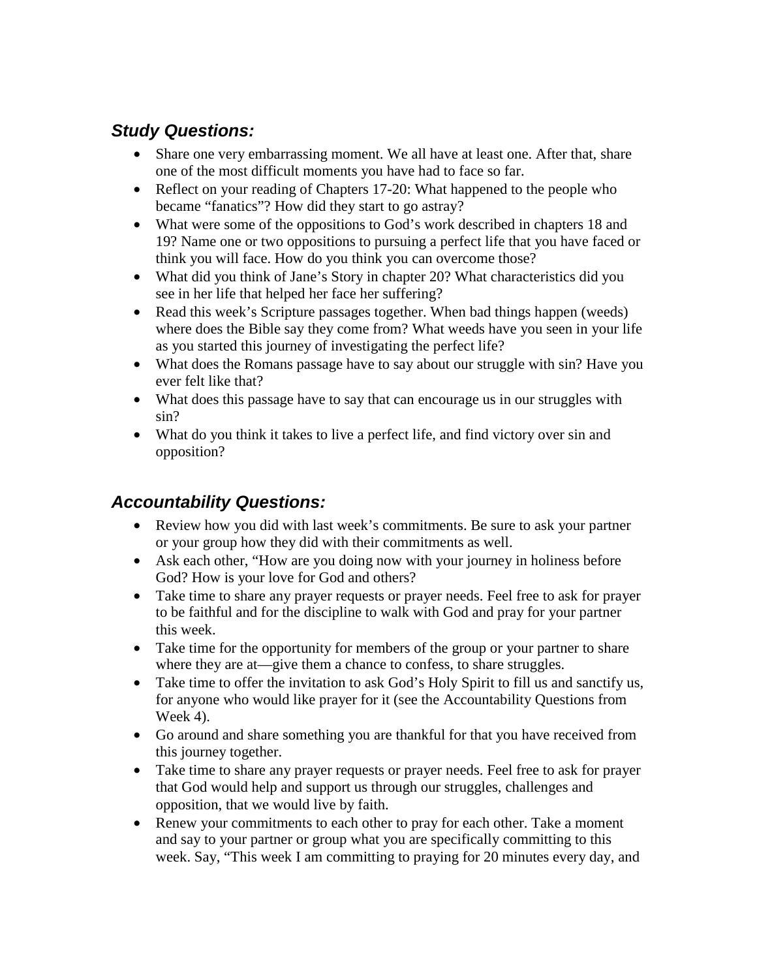## *Study Questions:*

- Share one very embarrassing moment. We all have at least one. After that, share one of the most difficult moments you have had to face so far.
- Reflect on your reading of Chapters 17-20: What happened to the people who became "fanatics"? How did they start to go astray?
- What were some of the oppositions to God's work described in chapters 18 and 19? Name one or two oppositions to pursuing a perfect life that you have faced or think you will face. How do you think you can overcome those?
- What did you think of Jane's Story in chapter 20? What characteristics did you see in her life that helped her face her suffering?
- Read this week's Scripture passages together. When bad things happen (weeds) where does the Bible say they come from? What weeds have you seen in your life as you started this journey of investigating the perfect life?
- What does the Romans passage have to say about our struggle with sin? Have you ever felt like that?
- What does this passage have to say that can encourage us in our struggles with sin?
- What do you think it takes to live a perfect life, and find victory over sin and opposition?

- Review how you did with last week's commitments. Be sure to ask your partner or your group how they did with their commitments as well.
- Ask each other, "How are you doing now with your journey in holiness before God? How is your love for God and others?
- Take time to share any prayer requests or prayer needs. Feel free to ask for prayer to be faithful and for the discipline to walk with God and pray for your partner this week.
- Take time for the opportunity for members of the group or your partner to share where they are at—give them a chance to confess, to share struggles.
- Take time to offer the invitation to ask God's Holy Spirit to fill us and sanctify us, for anyone who would like prayer for it (see the Accountability Questions from Week 4).
- Go around and share something you are thankful for that you have received from this journey together.
- Take time to share any prayer requests or prayer needs. Feel free to ask for prayer that God would help and support us through our struggles, challenges and opposition, that we would live by faith.
- Renew your commitments to each other to pray for each other. Take a moment and say to your partner or group what you are specifically committing to this week. Say, "This week I am committing to praying for 20 minutes every day, and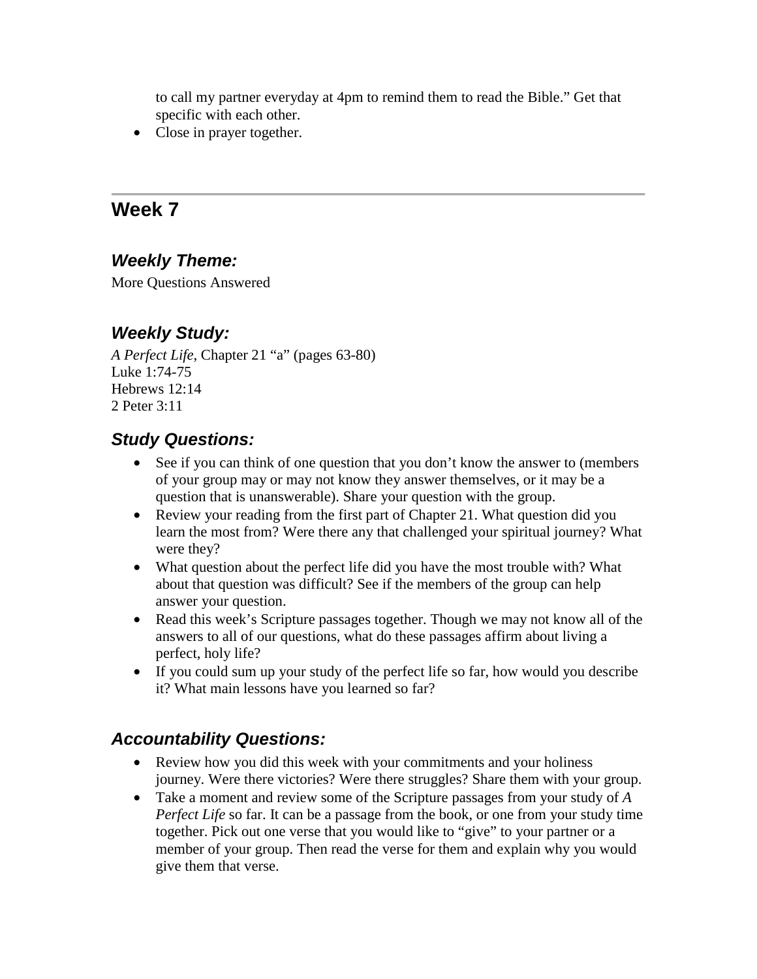to call my partner everyday at 4pm to remind them to read the Bible." Get that specific with each other.

• Close in prayer together.

## **Week 7**

## *Weekly Theme:*

More Questions Answered

## *Weekly Study:*

*A Perfect Life*, Chapter 21 "a" (pages 63-80) Luke 1:74-75 Hebrews 12:14 2 Peter 3:11

## *Study Questions:*

- See if you can think of one question that you don't know the answer to (members of your group may or may not know they answer themselves, or it may be a question that is unanswerable). Share your question with the group.
- Review your reading from the first part of Chapter 21. What question did you learn the most from? Were there any that challenged your spiritual journey? What were they?
- What question about the perfect life did you have the most trouble with? What about that question was difficult? See if the members of the group can help answer your question.
- Read this week's Scripture passages together. Though we may not know all of the answers to all of our questions, what do these passages affirm about living a perfect, holy life?
- If you could sum up your study of the perfect life so far, how would you describe it? What main lessons have you learned so far?

- Review how you did this week with your commitments and your holiness journey. Were there victories? Were there struggles? Share them with your group.
- Take a moment and review some of the Scripture passages from your study of *A Perfect Life* so far. It can be a passage from the book, or one from your study time together. Pick out one verse that you would like to "give" to your partner or a member of your group. Then read the verse for them and explain why you would give them that verse.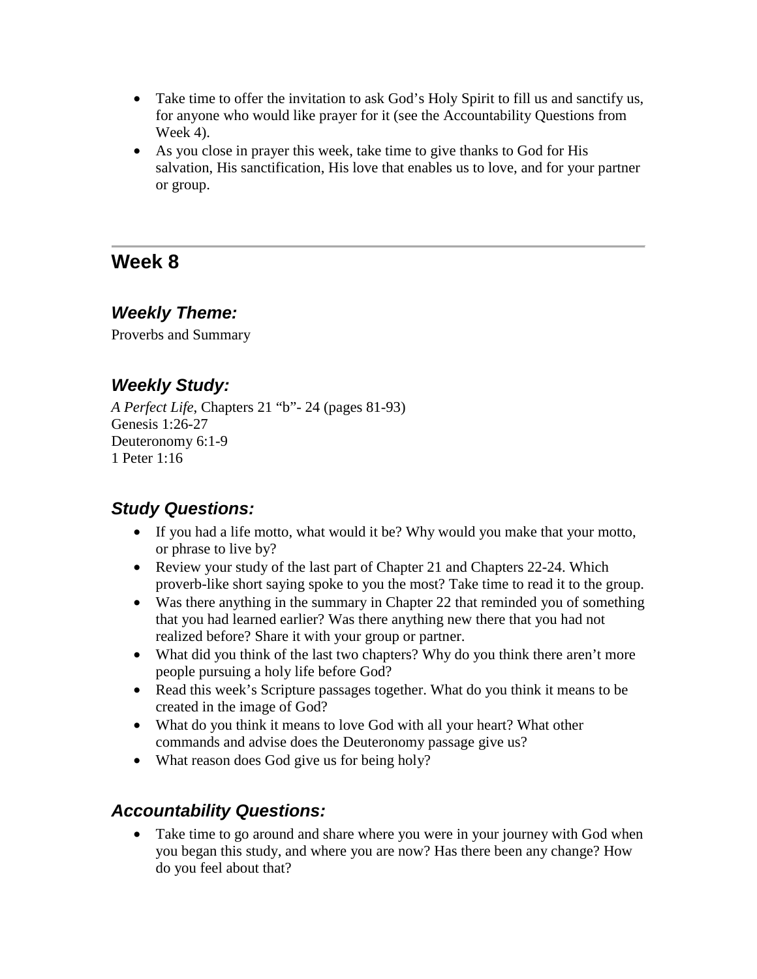- Take time to offer the invitation to ask God's Holy Spirit to fill us and sanctify us, for anyone who would like prayer for it (see the Accountability Questions from Week 4).
- As you close in prayer this week, take time to give thanks to God for His salvation, His sanctification, His love that enables us to love, and for your partner or group.

# **Week 8**

#### *Weekly Theme:*

Proverbs and Summary

## *Weekly Study:*

*A Perfect Life*, Chapters 21 "b"- 24 (pages 81-93) Genesis 1:26-27 Deuteronomy 6:1-9 1 Peter 1:16

## *Study Questions:*

- If you had a life motto, what would it be? Why would you make that your motto, or phrase to live by?
- Review your study of the last part of Chapter 21 and Chapters 22-24. Which proverb-like short saying spoke to you the most? Take time to read it to the group.
- Was there anything in the summary in Chapter 22 that reminded you of something that you had learned earlier? Was there anything new there that you had not realized before? Share it with your group or partner.
- What did you think of the last two chapters? Why do you think there aren't more people pursuing a holy life before God?
- Read this week's Scripture passages together. What do you think it means to be created in the image of God?
- What do you think it means to love God with all your heart? What other commands and advise does the Deuteronomy passage give us?
- What reason does God give us for being holy?

## *Accountability Questions:*

• Take time to go around and share where you were in your journey with God when you began this study, and where you are now? Has there been any change? How do you feel about that?